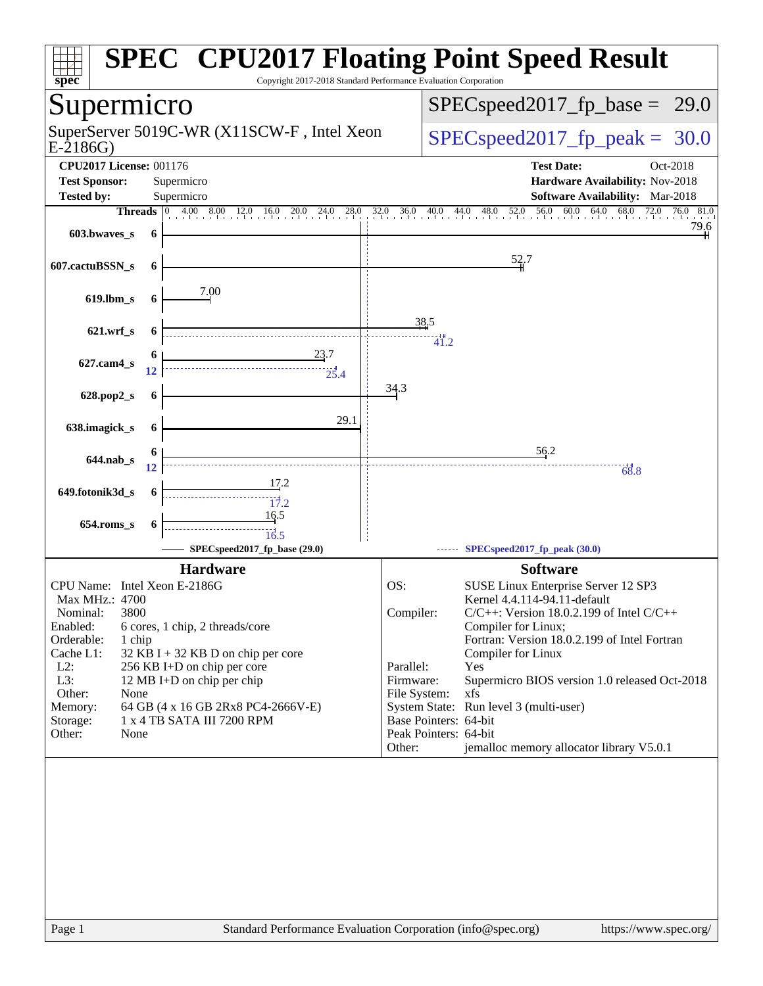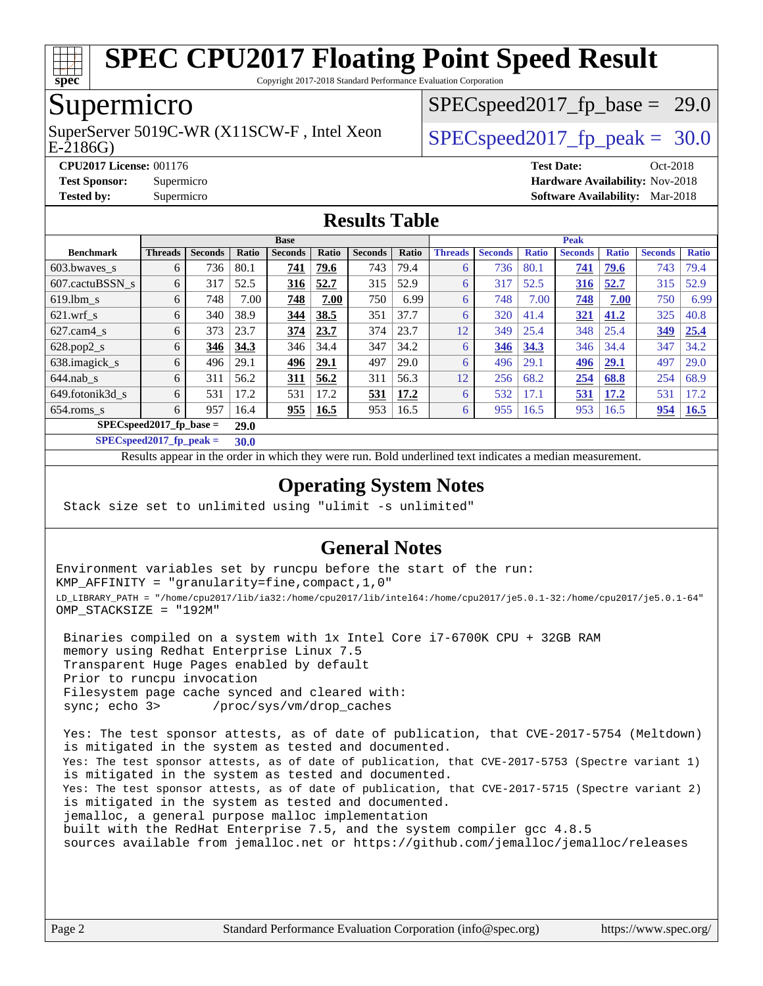

Copyright 2017-2018 Standard Performance Evaluation Corporation

## Supermicro

E-2186G) SuperServer 5019C-WR (X11SCW-F, Intel Xeon  $SPEC speed2017$  fp\_peak = 30.0

 $SPECspeed2017_fp\_base = 29.0$ 

**[CPU2017 License:](http://www.spec.org/auto/cpu2017/Docs/result-fields.html#CPU2017License)** 001176 **[Test Date:](http://www.spec.org/auto/cpu2017/Docs/result-fields.html#TestDate)** Oct-2018 **[Test Sponsor:](http://www.spec.org/auto/cpu2017/Docs/result-fields.html#TestSponsor)** Supermicro **[Hardware Availability:](http://www.spec.org/auto/cpu2017/Docs/result-fields.html#HardwareAvailability)** Nov-2018 **[Tested by:](http://www.spec.org/auto/cpu2017/Docs/result-fields.html#Testedby)** Supermicro **[Software Availability:](http://www.spec.org/auto/cpu2017/Docs/result-fields.html#SoftwareAvailability)** Mar-2018

#### **[Results Table](http://www.spec.org/auto/cpu2017/Docs/result-fields.html#ResultsTable)**

|                                           | <b>Base</b>    |                |              |                |             |                |       |                | <b>Peak</b>    |              |                |              |                |              |  |
|-------------------------------------------|----------------|----------------|--------------|----------------|-------------|----------------|-------|----------------|----------------|--------------|----------------|--------------|----------------|--------------|--|
| <b>Benchmark</b>                          | <b>Threads</b> | <b>Seconds</b> | <b>Ratio</b> | <b>Seconds</b> | Ratio       | <b>Seconds</b> | Ratio | <b>Threads</b> | <b>Seconds</b> | <b>Ratio</b> | <b>Seconds</b> | <b>Ratio</b> | <b>Seconds</b> | <b>Ratio</b> |  |
| $603.bwaves$ s                            | 6              | 736            | 80.1         | 741            | 79.6        | 743            | 79.4  | $\theta$       | 736            | 80.1         | 741            | 79.6         | 743            | 79.4         |  |
| 607.cactuBSSN s                           | 6              | 317            | 52.5         | 316            | 52.7        | 315            | 52.9  | 6              | 317            | 52.5         | 316            | 52.7         | 315            | 52.9         |  |
| $619.1$ bm s                              | 6              | 748            | 7.00         | 748            | 7.00        | 750            | 6.99  | 6              | 748            | 7.00         | 748            | 7.00         | 750            | 6.99         |  |
| $621$ wrf s                               | 6              | 340            | 38.9         | 344            | 38.5        | 351            | 37.7  | 6              | 320            | 41.4         | 321            | 41.2         | 325            | 40.8         |  |
| $627$ .cam4 s                             | 6              | 373            | 23.7         | 374            | 23.7        | 374            | 23.7  | 12             | 349            | 25.4         | 348            | 25.4         | 349            | 25.4         |  |
| $628.pop2_s$                              | 6              | 346            | 34.3         | 346            | 34.4        | 347            | 34.2  | 6              | 346            | 34.3         | 346            | 34.4         | 347            | 34.2         |  |
| 638.imagick_s                             | 6              | 496            | 29.1         | 496            | 29.1        | 497            | 29.0  | 6              | 496            | 29.1         | 496            | 29.1         | 497            | 29.0         |  |
| $644$ .nab s                              | 6              | 311            | 56.2         | 311            | 56.2        | 311            | 56.3  | 12             | 256            | 68.2         | 254            | 68.8         | 254            | 68.9         |  |
| 649.fotonik3d s                           | 6              | 531            | 17.2         | 531            | 17.2        | 531            | 17.2  | 6              | 532            | 17.1         | 531            | 17.2         | 531            | 17.2         |  |
| $654$ .roms s                             | 6              | 957            | 16.4         | 955            | <b>16.5</b> | 953            | 16.5  | 6              | 955            | 16.5         | 953            | 16.5         | 954            | <b>16.5</b>  |  |
| $SPEC speed2017$ fp base =<br><b>29.0</b> |                |                |              |                |             |                |       |                |                |              |                |              |                |              |  |

**[SPECspeed2017\\_fp\\_peak =](http://www.spec.org/auto/cpu2017/Docs/result-fields.html#SPECspeed2017fppeak) 30.0**

Results appear in the [order in which they were run.](http://www.spec.org/auto/cpu2017/Docs/result-fields.html#RunOrder) Bold underlined text [indicates a median measurement](http://www.spec.org/auto/cpu2017/Docs/result-fields.html#Median).

#### **[Operating System Notes](http://www.spec.org/auto/cpu2017/Docs/result-fields.html#OperatingSystemNotes)**

Stack size set to unlimited using "ulimit -s unlimited"

#### **[General Notes](http://www.spec.org/auto/cpu2017/Docs/result-fields.html#GeneralNotes)**

Environment variables set by runcpu before the start of the run: KMP\_AFFINITY = "granularity=fine,compact,1,0" LD\_LIBRARY\_PATH = "/home/cpu2017/lib/ia32:/home/cpu2017/lib/intel64:/home/cpu2017/je5.0.1-32:/home/cpu2017/je5.0.1-64" OMP\_STACKSIZE = "192M"

 Binaries compiled on a system with 1x Intel Core i7-6700K CPU + 32GB RAM memory using Redhat Enterprise Linux 7.5 Transparent Huge Pages enabled by default Prior to runcpu invocation Filesystem page cache synced and cleared with: sync; echo 3> /proc/sys/vm/drop\_caches

 Yes: The test sponsor attests, as of date of publication, that CVE-2017-5754 (Meltdown) is mitigated in the system as tested and documented. Yes: The test sponsor attests, as of date of publication, that CVE-2017-5753 (Spectre variant 1) is mitigated in the system as tested and documented. Yes: The test sponsor attests, as of date of publication, that CVE-2017-5715 (Spectre variant 2) is mitigated in the system as tested and documented. jemalloc, a general purpose malloc implementation built with the RedHat Enterprise 7.5, and the system compiler gcc 4.8.5 sources available from jemalloc.net or <https://github.com/jemalloc/jemalloc/releases>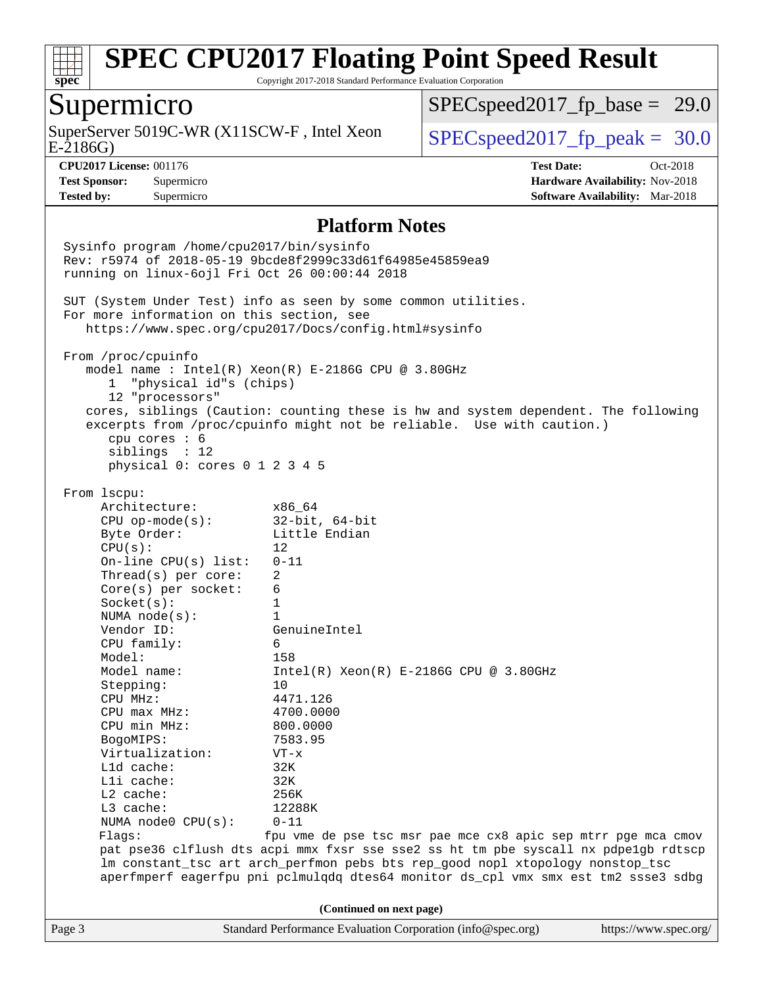

Copyright 2017-2018 Standard Performance Evaluation Corporation

## Supermicro

E-2186G) SuperServer 5019C-WR (X11SCW-F, Intel Xeon  $\big|$  [SPECspeed2017\\_fp\\_peak =](http://www.spec.org/auto/cpu2017/Docs/result-fields.html#SPECspeed2017fppeak) 30.0

 $SPECspeed2017_fp\_base = 29.0$ 

**[CPU2017 License:](http://www.spec.org/auto/cpu2017/Docs/result-fields.html#CPU2017License)** 001176 **[Test Date:](http://www.spec.org/auto/cpu2017/Docs/result-fields.html#TestDate)** Oct-2018 **[Test Sponsor:](http://www.spec.org/auto/cpu2017/Docs/result-fields.html#TestSponsor)** Supermicro **[Hardware Availability:](http://www.spec.org/auto/cpu2017/Docs/result-fields.html#HardwareAvailability)** Nov-2018 **[Tested by:](http://www.spec.org/auto/cpu2017/Docs/result-fields.html#Testedby)** Supermicro **[Software Availability:](http://www.spec.org/auto/cpu2017/Docs/result-fields.html#SoftwareAvailability)** Mar-2018

#### **[Platform Notes](http://www.spec.org/auto/cpu2017/Docs/result-fields.html#PlatformNotes)**

Page 3 Standard Performance Evaluation Corporation [\(info@spec.org\)](mailto:info@spec.org) <https://www.spec.org/> Sysinfo program /home/cpu2017/bin/sysinfo Rev: r5974 of 2018-05-19 9bcde8f2999c33d61f64985e45859ea9 running on linux-6ojl Fri Oct 26 00:00:44 2018 SUT (System Under Test) info as seen by some common utilities. For more information on this section, see <https://www.spec.org/cpu2017/Docs/config.html#sysinfo> From /proc/cpuinfo model name : Intel(R) Xeon(R) E-2186G CPU @ 3.80GHz 1 "physical id"s (chips) 12 "processors" cores, siblings (Caution: counting these is hw and system dependent. The following excerpts from /proc/cpuinfo might not be reliable. Use with caution.) cpu cores : 6 siblings : 12 physical 0: cores 0 1 2 3 4 5 From lscpu: Architecture: x86\_64 CPU op-mode(s): 32-bit, 64-bit Byte Order: Little Endian  $CPU(s):$  12 On-line CPU(s) list: 0-11 Thread(s) per core: 2 Core(s) per socket: 6 Socket(s): 1 NUMA node(s): 1 Vendor ID: GenuineIntel CPU family: 6 Model: 158<br>Model name: 1158  $Intel(R)$  Xeon(R) E-2186G CPU @ 3.80GHz Stepping: 10 CPU MHz: 4471.126 CPU max MHz: 4700.0000 CPU min MHz: 800.0000 BogoMIPS: 7583.95 Virtualization: VT-x L1d cache: 32K L1i cache: 32K L2 cache: 256K L3 cache: 12288K NUMA node0 CPU(s): 0-11 Flags: fpu vme de pse tsc msr pae mce cx8 apic sep mtrr pge mca cmov pat pse36 clflush dts acpi mmx fxsr sse sse2 ss ht tm pbe syscall nx pdpe1gb rdtscp lm constant\_tsc art arch\_perfmon pebs bts rep\_good nopl xtopology nonstop\_tsc aperfmperf eagerfpu pni pclmulqdq dtes64 monitor ds\_cpl vmx smx est tm2 ssse3 sdbg **(Continued on next page)**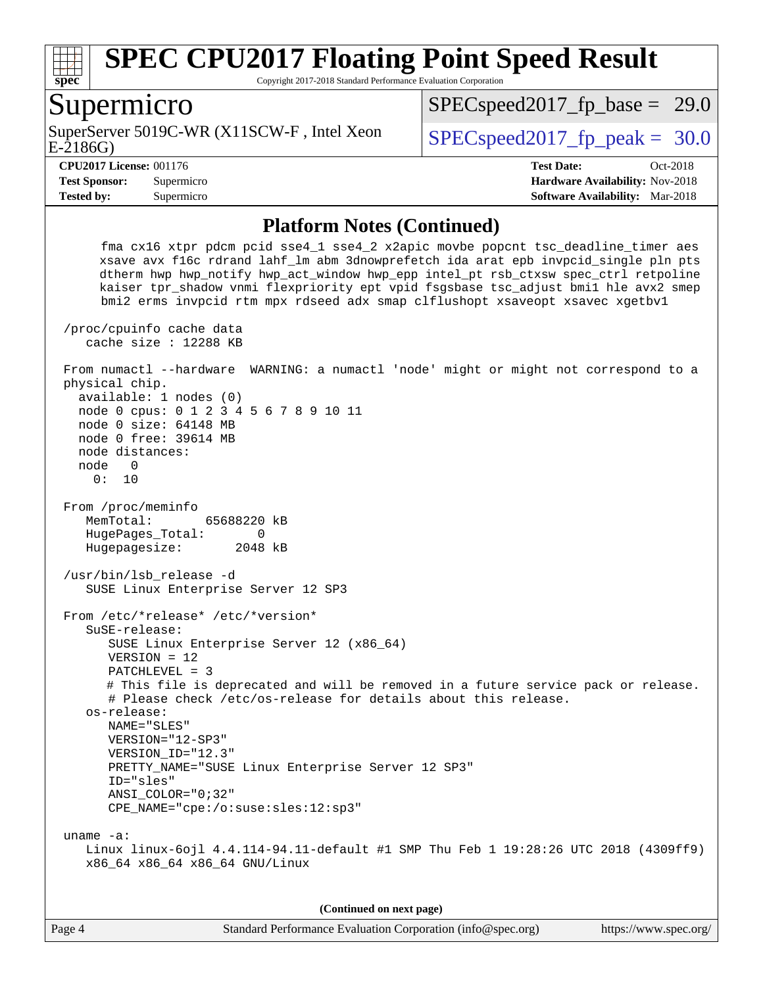

Copyright 2017-2018 Standard Performance Evaluation Corporation

#### Supermicro

E-2186G) SuperServer 5019C-WR (X11SCW-F, Intel Xeon  $SPEC speed2017$  fp\_peak = 30.0

 $SPECspeed2017_fp\_base = 29.0$ 

**[Tested by:](http://www.spec.org/auto/cpu2017/Docs/result-fields.html#Testedby)** Supermicro **[Software Availability:](http://www.spec.org/auto/cpu2017/Docs/result-fields.html#SoftwareAvailability)** Mar-2018

**[CPU2017 License:](http://www.spec.org/auto/cpu2017/Docs/result-fields.html#CPU2017License)** 001176 **[Test Date:](http://www.spec.org/auto/cpu2017/Docs/result-fields.html#TestDate)** Oct-2018 **[Test Sponsor:](http://www.spec.org/auto/cpu2017/Docs/result-fields.html#TestSponsor)** Supermicro **[Hardware Availability:](http://www.spec.org/auto/cpu2017/Docs/result-fields.html#HardwareAvailability)** Nov-2018

#### **[Platform Notes \(Continued\)](http://www.spec.org/auto/cpu2017/Docs/result-fields.html#PlatformNotes)**

 fma cx16 xtpr pdcm pcid sse4\_1 sse4\_2 x2apic movbe popcnt tsc\_deadline\_timer aes xsave avx f16c rdrand lahf\_lm abm 3dnowprefetch ida arat epb invpcid\_single pln pts dtherm hwp hwp\_notify hwp\_act\_window hwp\_epp intel\_pt rsb\_ctxsw spec\_ctrl retpoline kaiser tpr\_shadow vnmi flexpriority ept vpid fsgsbase tsc\_adjust bmi1 hle avx2 smep bmi2 erms invpcid rtm mpx rdseed adx smap clflushopt xsaveopt xsavec xgetbv1 /proc/cpuinfo cache data cache size : 12288 KB From numactl --hardware WARNING: a numactl 'node' might or might not correspond to a physical chip. available: 1 nodes (0) node 0 cpus: 0 1 2 3 4 5 6 7 8 9 10 11 node 0 size: 64148 MB node 0 free: 39614 MB node distances: node 0 0: 10 From /proc/meminfo MemTotal: 65688220 kB HugePages\_Total: 0 Hugepagesize: 2048 kB /usr/bin/lsb\_release -d SUSE Linux Enterprise Server 12 SP3 From /etc/\*release\* /etc/\*version\* SuSE-release: SUSE Linux Enterprise Server 12 (x86\_64) VERSION = 12 PATCHLEVEL = 3 # This file is deprecated and will be removed in a future service pack or release. # Please check /etc/os-release for details about this release. os-release: NAME="SLES" VERSION="12-SP3" VERSION\_ID="12.3" PRETTY\_NAME="SUSE Linux Enterprise Server 12 SP3" ID="sles" ANSI\_COLOR="0;32" CPE\_NAME="cpe:/o:suse:sles:12:sp3" uname -a: Linux linux-6ojl 4.4.114-94.11-default #1 SMP Thu Feb 1 19:28:26 UTC 2018 (4309ff9) x86\_64 x86\_64 x86\_64 GNU/Linux

**(Continued on next page)**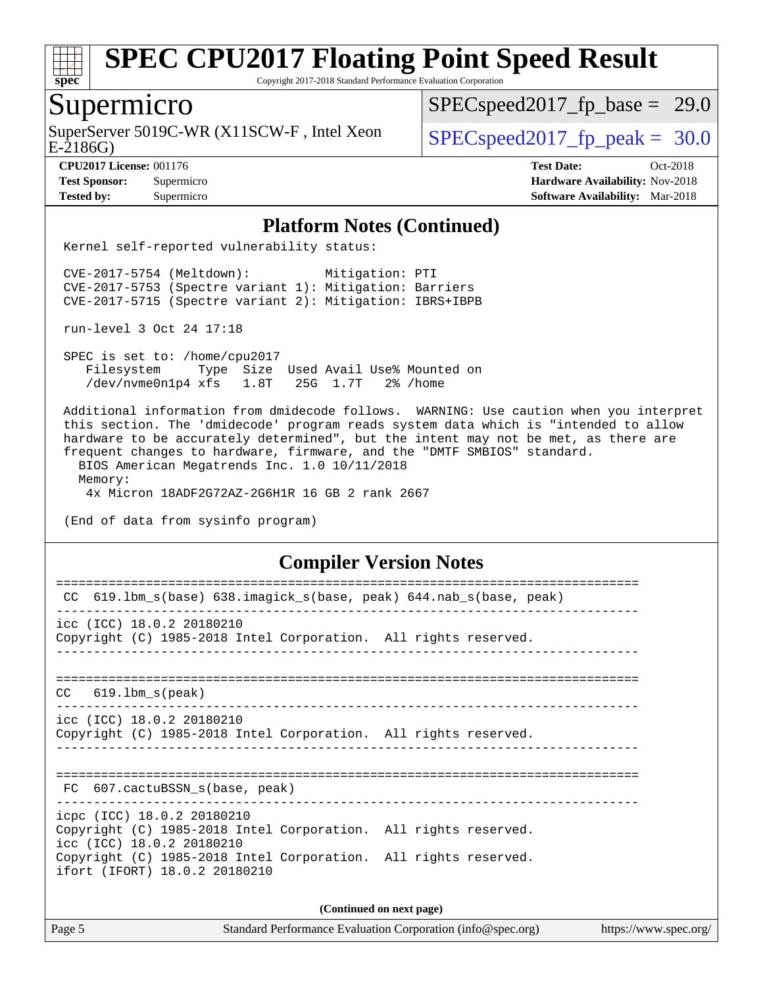

Copyright 2017-2018 Standard Performance Evaluation Corporation

## Supermicro

SuperServer 5019C-WR (X11SCW-F, Intel Xeon  $\big|$  [SPECspeed2017\\_fp\\_peak =](http://www.spec.org/auto/cpu2017/Docs/result-fields.html#SPECspeed2017fppeak) 30.0

 $SPECspeed2017_fp\_base = 29.0$ 

E-2186G)

**[CPU2017 License:](http://www.spec.org/auto/cpu2017/Docs/result-fields.html#CPU2017License)** 001176 **[Test Date:](http://www.spec.org/auto/cpu2017/Docs/result-fields.html#TestDate)** Oct-2018 **[Test Sponsor:](http://www.spec.org/auto/cpu2017/Docs/result-fields.html#TestSponsor)** Supermicro **[Hardware Availability:](http://www.spec.org/auto/cpu2017/Docs/result-fields.html#HardwareAvailability)** Nov-2018 **[Tested by:](http://www.spec.org/auto/cpu2017/Docs/result-fields.html#Testedby)** Supermicro **[Software Availability:](http://www.spec.org/auto/cpu2017/Docs/result-fields.html#SoftwareAvailability)** Mar-2018

#### **[Platform Notes \(Continued\)](http://www.spec.org/auto/cpu2017/Docs/result-fields.html#PlatformNotes)**

Kernel self-reported vulnerability status:

 CVE-2017-5754 (Meltdown): Mitigation: PTI CVE-2017-5753 (Spectre variant 1): Mitigation: Barriers CVE-2017-5715 (Spectre variant 2): Mitigation: IBRS+IBPB

run-level 3 Oct 24 17:18

 SPEC is set to: /home/cpu2017 Filesystem Type Size Used Avail Use% Mounted on /dev/nvme0n1p4 xfs 1.8T 25G 1.7T 2% /home

 Additional information from dmidecode follows. WARNING: Use caution when you interpret this section. The 'dmidecode' program reads system data which is "intended to allow hardware to be accurately determined", but the intent may not be met, as there are frequent changes to hardware, firmware, and the "DMTF SMBIOS" standard. BIOS American Megatrends Inc. 1.0 10/11/2018 Memory: 4x Micron 18ADF2G72AZ-2G6H1R 16 GB 2 rank 2667

(End of data from sysinfo program)

#### **[Compiler Version Notes](http://www.spec.org/auto/cpu2017/Docs/result-fields.html#CompilerVersionNotes)**

| CC.                                                                                          |  |  |  |  |  |  |  |
|----------------------------------------------------------------------------------------------|--|--|--|--|--|--|--|
| 619.1bm_s(base) 638.imagick_s(base, peak) 644.nab_s(base, peak)                              |  |  |  |  |  |  |  |
| icc (ICC) 18.0.2 20180210                                                                    |  |  |  |  |  |  |  |
| Copyright (C) 1985-2018 Intel Corporation. All rights reserved.                              |  |  |  |  |  |  |  |
|                                                                                              |  |  |  |  |  |  |  |
| $CC$ $619.1bm_s(peak)$                                                                       |  |  |  |  |  |  |  |
| icc (ICC) 18.0.2 20180210                                                                    |  |  |  |  |  |  |  |
| Copyright (C) 1985-2018 Intel Corporation. All rights reserved.                              |  |  |  |  |  |  |  |
|                                                                                              |  |  |  |  |  |  |  |
| =================================<br>FC 607.cactuBSSN s(base, peak)                          |  |  |  |  |  |  |  |
| icpc (ICC) 18.0.2 20180210                                                                   |  |  |  |  |  |  |  |
| Copyright (C) 1985-2018 Intel Corporation. All rights reserved.<br>icc (ICC) 18.0.2 20180210 |  |  |  |  |  |  |  |
| Copyright (C) 1985-2018 Intel Corporation. All rights reserved.                              |  |  |  |  |  |  |  |
| ifort (IFORT) 18.0.2 20180210                                                                |  |  |  |  |  |  |  |
| (Continued on next page)                                                                     |  |  |  |  |  |  |  |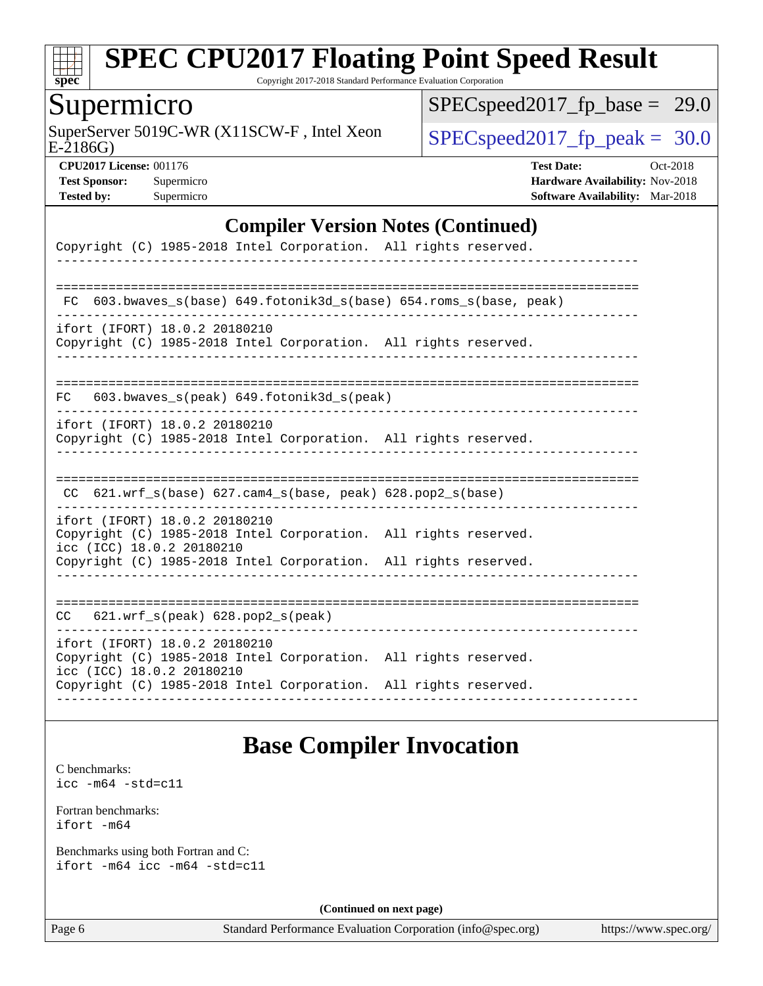

Copyright 2017-2018 Standard Performance Evaluation Corporation

## Supermicro

E-2186G) SuperServer 5019C-WR (X11SCW-F, Intel Xeon  $SPEC speed2017_f$  peak = 30.0

 $SPEC speed2017_fp\_base = 29.0$ 

**[CPU2017 License:](http://www.spec.org/auto/cpu2017/Docs/result-fields.html#CPU2017License)** 001176 **[Test Date:](http://www.spec.org/auto/cpu2017/Docs/result-fields.html#TestDate)** Oct-2018 **[Test Sponsor:](http://www.spec.org/auto/cpu2017/Docs/result-fields.html#TestSponsor)** Supermicro **[Hardware Availability:](http://www.spec.org/auto/cpu2017/Docs/result-fields.html#HardwareAvailability)** Nov-2018 **[Tested by:](http://www.spec.org/auto/cpu2017/Docs/result-fields.html#Testedby)** Supermicro **[Software Availability:](http://www.spec.org/auto/cpu2017/Docs/result-fields.html#SoftwareAvailability)** Mar-2018

#### **[Compiler Version Notes \(Continued\)](http://www.spec.org/auto/cpu2017/Docs/result-fields.html#CompilerVersionNotes)**

| Copyright (C) 1985-2018 Intel Corporation. All rights reserved.                                                               |                                        |
|-------------------------------------------------------------------------------------------------------------------------------|----------------------------------------|
|                                                                                                                               |                                        |
| $603.bwaves_s(base) 649.fotonik3d_s(base) 654.roms_s(base, peak)$<br>FC.                                                      |                                        |
| ifort (IFORT) 18.0.2 20180210<br>Copyright (C) 1985-2018 Intel Corporation. All rights reserved.                              |                                        |
| 603.bwaves_s(peak) 649.fotonik3d_s(peak)<br>FC.                                                                               |                                        |
| ifort (IFORT) 18.0.2 20180210<br>Copyright (C) 1985-2018 Intel Corporation. All rights reserved.                              |                                        |
|                                                                                                                               |                                        |
| $CC$ 621.wrf_s(base) 627.cam4_s(base, peak) 628.pop2_s(base)                                                                  |                                        |
| ifort (IFORT) 18.0.2 20180210<br>Copyright (C) 1985-2018 Intel Corporation. All rights reserved.<br>icc (ICC) 18.0.2 20180210 |                                        |
| Copyright (C) 1985-2018 Intel Corporation. All rights reserved.                                                               |                                        |
|                                                                                                                               | -------------------------------------- |
| $CC$ $621.wrf_s(peak)$ $628.pop2_s(peak)$                                                                                     |                                        |
| ifort (IFORT) 18.0.2 20180210<br>Copyright (C) 1985-2018 Intel Corporation. All rights reserved.<br>icc (ICC) 18.0.2 20180210 |                                        |
| Copyright (C) 1985-2018 Intel Corporation. All rights reserved.                                                               |                                        |

## **[Base Compiler Invocation](http://www.spec.org/auto/cpu2017/Docs/result-fields.html#BaseCompilerInvocation)**

[C benchmarks](http://www.spec.org/auto/cpu2017/Docs/result-fields.html#Cbenchmarks): [icc -m64 -std=c11](http://www.spec.org/cpu2017/results/res2018q4/cpu2017-20181112-09649.flags.html#user_CCbase_intel_icc_64bit_c11_33ee0cdaae7deeeab2a9725423ba97205ce30f63b9926c2519791662299b76a0318f32ddfffdc46587804de3178b4f9328c46fa7c2b0cd779d7a61945c91cd35)

[Fortran benchmarks](http://www.spec.org/auto/cpu2017/Docs/result-fields.html#Fortranbenchmarks): [ifort -m64](http://www.spec.org/cpu2017/results/res2018q4/cpu2017-20181112-09649.flags.html#user_FCbase_intel_ifort_64bit_24f2bb282fbaeffd6157abe4f878425411749daecae9a33200eee2bee2fe76f3b89351d69a8130dd5949958ce389cf37ff59a95e7a40d588e8d3a57e0c3fd751)

[Benchmarks using both Fortran and C](http://www.spec.org/auto/cpu2017/Docs/result-fields.html#BenchmarksusingbothFortranandC): [ifort -m64](http://www.spec.org/cpu2017/results/res2018q4/cpu2017-20181112-09649.flags.html#user_CC_FCbase_intel_ifort_64bit_24f2bb282fbaeffd6157abe4f878425411749daecae9a33200eee2bee2fe76f3b89351d69a8130dd5949958ce389cf37ff59a95e7a40d588e8d3a57e0c3fd751) [icc -m64 -std=c11](http://www.spec.org/cpu2017/results/res2018q4/cpu2017-20181112-09649.flags.html#user_CC_FCbase_intel_icc_64bit_c11_33ee0cdaae7deeeab2a9725423ba97205ce30f63b9926c2519791662299b76a0318f32ddfffdc46587804de3178b4f9328c46fa7c2b0cd779d7a61945c91cd35)

**(Continued on next page)**

Page 6 Standard Performance Evaluation Corporation [\(info@spec.org\)](mailto:info@spec.org) <https://www.spec.org/>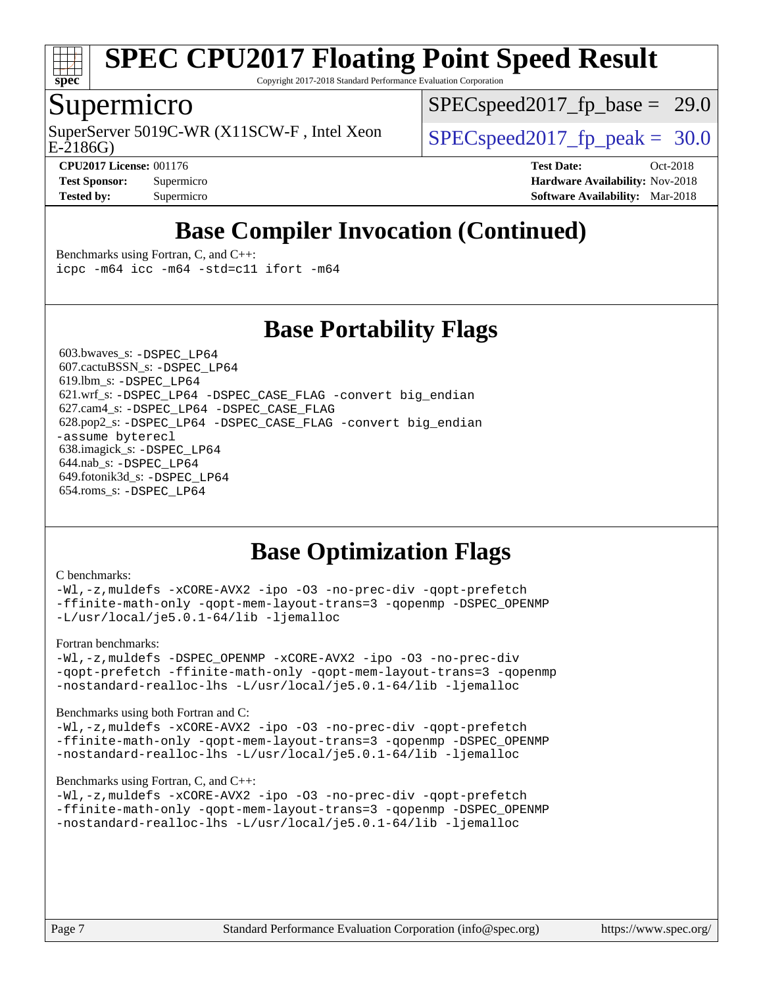

Copyright 2017-2018 Standard Performance Evaluation Corporation

## Supermicro

SuperServer 5019C-WR (X11SCW-F, Intel Xeon  $SPEC speed2017$  fp\_peak = 30.0

 $SPECspeed2017_fp\_base = 29.0$ 

E-2186G)

**[CPU2017 License:](http://www.spec.org/auto/cpu2017/Docs/result-fields.html#CPU2017License)** 001176 **[Test Date:](http://www.spec.org/auto/cpu2017/Docs/result-fields.html#TestDate)** Oct-2018 **[Test Sponsor:](http://www.spec.org/auto/cpu2017/Docs/result-fields.html#TestSponsor)** Supermicro **[Hardware Availability:](http://www.spec.org/auto/cpu2017/Docs/result-fields.html#HardwareAvailability)** Nov-2018 **[Tested by:](http://www.spec.org/auto/cpu2017/Docs/result-fields.html#Testedby)** Supermicro **[Software Availability:](http://www.spec.org/auto/cpu2017/Docs/result-fields.html#SoftwareAvailability)** Mar-2018

# **[Base Compiler Invocation \(Continued\)](http://www.spec.org/auto/cpu2017/Docs/result-fields.html#BaseCompilerInvocation)**

**[Base Portability Flags](http://www.spec.org/auto/cpu2017/Docs/result-fields.html#BasePortabilityFlags)**

[Benchmarks using Fortran, C, and C++:](http://www.spec.org/auto/cpu2017/Docs/result-fields.html#BenchmarksusingFortranCandCXX) [icpc -m64](http://www.spec.org/cpu2017/results/res2018q4/cpu2017-20181112-09649.flags.html#user_CC_CXX_FCbase_intel_icpc_64bit_4ecb2543ae3f1412ef961e0650ca070fec7b7afdcd6ed48761b84423119d1bf6bdf5cad15b44d48e7256388bc77273b966e5eb805aefd121eb22e9299b2ec9d9) [icc -m64 -std=c11](http://www.spec.org/cpu2017/results/res2018q4/cpu2017-20181112-09649.flags.html#user_CC_CXX_FCbase_intel_icc_64bit_c11_33ee0cdaae7deeeab2a9725423ba97205ce30f63b9926c2519791662299b76a0318f32ddfffdc46587804de3178b4f9328c46fa7c2b0cd779d7a61945c91cd35) [ifort -m64](http://www.spec.org/cpu2017/results/res2018q4/cpu2017-20181112-09649.flags.html#user_CC_CXX_FCbase_intel_ifort_64bit_24f2bb282fbaeffd6157abe4f878425411749daecae9a33200eee2bee2fe76f3b89351d69a8130dd5949958ce389cf37ff59a95e7a40d588e8d3a57e0c3fd751)

 603.bwaves\_s: [-DSPEC\\_LP64](http://www.spec.org/cpu2017/results/res2018q4/cpu2017-20181112-09649.flags.html#suite_basePORTABILITY603_bwaves_s_DSPEC_LP64) 607.cactuBSSN\_s: [-DSPEC\\_LP64](http://www.spec.org/cpu2017/results/res2018q4/cpu2017-20181112-09649.flags.html#suite_basePORTABILITY607_cactuBSSN_s_DSPEC_LP64) 619.lbm\_s: [-DSPEC\\_LP64](http://www.spec.org/cpu2017/results/res2018q4/cpu2017-20181112-09649.flags.html#suite_basePORTABILITY619_lbm_s_DSPEC_LP64) 621.wrf\_s: [-DSPEC\\_LP64](http://www.spec.org/cpu2017/results/res2018q4/cpu2017-20181112-09649.flags.html#suite_basePORTABILITY621_wrf_s_DSPEC_LP64) [-DSPEC\\_CASE\\_FLAG](http://www.spec.org/cpu2017/results/res2018q4/cpu2017-20181112-09649.flags.html#b621.wrf_s_baseCPORTABILITY_DSPEC_CASE_FLAG) [-convert big\\_endian](http://www.spec.org/cpu2017/results/res2018q4/cpu2017-20181112-09649.flags.html#user_baseFPORTABILITY621_wrf_s_convert_big_endian_c3194028bc08c63ac5d04de18c48ce6d347e4e562e8892b8bdbdc0214820426deb8554edfa529a3fb25a586e65a3d812c835984020483e7e73212c4d31a38223) 627.cam4\_s: [-DSPEC\\_LP64](http://www.spec.org/cpu2017/results/res2018q4/cpu2017-20181112-09649.flags.html#suite_basePORTABILITY627_cam4_s_DSPEC_LP64) [-DSPEC\\_CASE\\_FLAG](http://www.spec.org/cpu2017/results/res2018q4/cpu2017-20181112-09649.flags.html#b627.cam4_s_baseCPORTABILITY_DSPEC_CASE_FLAG) 628.pop2\_s: [-DSPEC\\_LP64](http://www.spec.org/cpu2017/results/res2018q4/cpu2017-20181112-09649.flags.html#suite_basePORTABILITY628_pop2_s_DSPEC_LP64) [-DSPEC\\_CASE\\_FLAG](http://www.spec.org/cpu2017/results/res2018q4/cpu2017-20181112-09649.flags.html#b628.pop2_s_baseCPORTABILITY_DSPEC_CASE_FLAG) [-convert big\\_endian](http://www.spec.org/cpu2017/results/res2018q4/cpu2017-20181112-09649.flags.html#user_baseFPORTABILITY628_pop2_s_convert_big_endian_c3194028bc08c63ac5d04de18c48ce6d347e4e562e8892b8bdbdc0214820426deb8554edfa529a3fb25a586e65a3d812c835984020483e7e73212c4d31a38223) [-assume byterecl](http://www.spec.org/cpu2017/results/res2018q4/cpu2017-20181112-09649.flags.html#user_baseFPORTABILITY628_pop2_s_assume_byterecl_7e47d18b9513cf18525430bbf0f2177aa9bf368bc7a059c09b2c06a34b53bd3447c950d3f8d6c70e3faf3a05c8557d66a5798b567902e8849adc142926523472) 638.imagick\_s: [-DSPEC\\_LP64](http://www.spec.org/cpu2017/results/res2018q4/cpu2017-20181112-09649.flags.html#suite_basePORTABILITY638_imagick_s_DSPEC_LP64) 644.nab\_s: [-DSPEC\\_LP64](http://www.spec.org/cpu2017/results/res2018q4/cpu2017-20181112-09649.flags.html#suite_basePORTABILITY644_nab_s_DSPEC_LP64) 649.fotonik3d\_s: [-DSPEC\\_LP64](http://www.spec.org/cpu2017/results/res2018q4/cpu2017-20181112-09649.flags.html#suite_basePORTABILITY649_fotonik3d_s_DSPEC_LP64) 654.roms\_s: [-DSPEC\\_LP64](http://www.spec.org/cpu2017/results/res2018q4/cpu2017-20181112-09649.flags.html#suite_basePORTABILITY654_roms_s_DSPEC_LP64)

# **[Base Optimization Flags](http://www.spec.org/auto/cpu2017/Docs/result-fields.html#BaseOptimizationFlags)**

#### [C benchmarks](http://www.spec.org/auto/cpu2017/Docs/result-fields.html#Cbenchmarks):

[-Wl,-z,muldefs](http://www.spec.org/cpu2017/results/res2018q4/cpu2017-20181112-09649.flags.html#user_CCbase_link_force_multiple1_b4cbdb97b34bdee9ceefcfe54f4c8ea74255f0b02a4b23e853cdb0e18eb4525ac79b5a88067c842dd0ee6996c24547a27a4b99331201badda8798ef8a743f577) [-xCORE-AVX2](http://www.spec.org/cpu2017/results/res2018q4/cpu2017-20181112-09649.flags.html#user_CCbase_f-xCORE-AVX2) [-ipo](http://www.spec.org/cpu2017/results/res2018q4/cpu2017-20181112-09649.flags.html#user_CCbase_f-ipo) [-O3](http://www.spec.org/cpu2017/results/res2018q4/cpu2017-20181112-09649.flags.html#user_CCbase_f-O3) [-no-prec-div](http://www.spec.org/cpu2017/results/res2018q4/cpu2017-20181112-09649.flags.html#user_CCbase_f-no-prec-div) [-qopt-prefetch](http://www.spec.org/cpu2017/results/res2018q4/cpu2017-20181112-09649.flags.html#user_CCbase_f-qopt-prefetch) [-ffinite-math-only](http://www.spec.org/cpu2017/results/res2018q4/cpu2017-20181112-09649.flags.html#user_CCbase_f_finite_math_only_cb91587bd2077682c4b38af759c288ed7c732db004271a9512da14a4f8007909a5f1427ecbf1a0fb78ff2a814402c6114ac565ca162485bbcae155b5e4258871) [-qopt-mem-layout-trans=3](http://www.spec.org/cpu2017/results/res2018q4/cpu2017-20181112-09649.flags.html#user_CCbase_f-qopt-mem-layout-trans_de80db37974c74b1f0e20d883f0b675c88c3b01e9d123adea9b28688d64333345fb62bc4a798493513fdb68f60282f9a726aa07f478b2f7113531aecce732043) [-qopenmp](http://www.spec.org/cpu2017/results/res2018q4/cpu2017-20181112-09649.flags.html#user_CCbase_qopenmp_16be0c44f24f464004c6784a7acb94aca937f053568ce72f94b139a11c7c168634a55f6653758ddd83bcf7b8463e8028bb0b48b77bcddc6b78d5d95bb1df2967) [-DSPEC\\_OPENMP](http://www.spec.org/cpu2017/results/res2018q4/cpu2017-20181112-09649.flags.html#suite_CCbase_DSPEC_OPENMP) [-L/usr/local/je5.0.1-64/lib](http://www.spec.org/cpu2017/results/res2018q4/cpu2017-20181112-09649.flags.html#user_CCbase_jemalloc_link_path64_4b10a636b7bce113509b17f3bd0d6226c5fb2346b9178c2d0232c14f04ab830f976640479e5c33dc2bcbbdad86ecfb6634cbbd4418746f06f368b512fced5394) [-ljemalloc](http://www.spec.org/cpu2017/results/res2018q4/cpu2017-20181112-09649.flags.html#user_CCbase_jemalloc_link_lib_d1249b907c500fa1c0672f44f562e3d0f79738ae9e3c4a9c376d49f265a04b9c99b167ecedbf6711b3085be911c67ff61f150a17b3472be731631ba4d0471706)

#### [Fortran benchmarks](http://www.spec.org/auto/cpu2017/Docs/result-fields.html#Fortranbenchmarks):

[-Wl,-z,muldefs](http://www.spec.org/cpu2017/results/res2018q4/cpu2017-20181112-09649.flags.html#user_FCbase_link_force_multiple1_b4cbdb97b34bdee9ceefcfe54f4c8ea74255f0b02a4b23e853cdb0e18eb4525ac79b5a88067c842dd0ee6996c24547a27a4b99331201badda8798ef8a743f577) [-DSPEC\\_OPENMP](http://www.spec.org/cpu2017/results/res2018q4/cpu2017-20181112-09649.flags.html#suite_FCbase_DSPEC_OPENMP) [-xCORE-AVX2](http://www.spec.org/cpu2017/results/res2018q4/cpu2017-20181112-09649.flags.html#user_FCbase_f-xCORE-AVX2) [-ipo](http://www.spec.org/cpu2017/results/res2018q4/cpu2017-20181112-09649.flags.html#user_FCbase_f-ipo) [-O3](http://www.spec.org/cpu2017/results/res2018q4/cpu2017-20181112-09649.flags.html#user_FCbase_f-O3) [-no-prec-div](http://www.spec.org/cpu2017/results/res2018q4/cpu2017-20181112-09649.flags.html#user_FCbase_f-no-prec-div) [-qopt-prefetch](http://www.spec.org/cpu2017/results/res2018q4/cpu2017-20181112-09649.flags.html#user_FCbase_f-qopt-prefetch) [-ffinite-math-only](http://www.spec.org/cpu2017/results/res2018q4/cpu2017-20181112-09649.flags.html#user_FCbase_f_finite_math_only_cb91587bd2077682c4b38af759c288ed7c732db004271a9512da14a4f8007909a5f1427ecbf1a0fb78ff2a814402c6114ac565ca162485bbcae155b5e4258871) [-qopt-mem-layout-trans=3](http://www.spec.org/cpu2017/results/res2018q4/cpu2017-20181112-09649.flags.html#user_FCbase_f-qopt-mem-layout-trans_de80db37974c74b1f0e20d883f0b675c88c3b01e9d123adea9b28688d64333345fb62bc4a798493513fdb68f60282f9a726aa07f478b2f7113531aecce732043) [-qopenmp](http://www.spec.org/cpu2017/results/res2018q4/cpu2017-20181112-09649.flags.html#user_FCbase_qopenmp_16be0c44f24f464004c6784a7acb94aca937f053568ce72f94b139a11c7c168634a55f6653758ddd83bcf7b8463e8028bb0b48b77bcddc6b78d5d95bb1df2967) [-nostandard-realloc-lhs](http://www.spec.org/cpu2017/results/res2018q4/cpu2017-20181112-09649.flags.html#user_FCbase_f_2003_std_realloc_82b4557e90729c0f113870c07e44d33d6f5a304b4f63d4c15d2d0f1fab99f5daaed73bdb9275d9ae411527f28b936061aa8b9c8f2d63842963b95c9dd6426b8a) [-L/usr/local/je5.0.1-64/lib](http://www.spec.org/cpu2017/results/res2018q4/cpu2017-20181112-09649.flags.html#user_FCbase_jemalloc_link_path64_4b10a636b7bce113509b17f3bd0d6226c5fb2346b9178c2d0232c14f04ab830f976640479e5c33dc2bcbbdad86ecfb6634cbbd4418746f06f368b512fced5394) [-ljemalloc](http://www.spec.org/cpu2017/results/res2018q4/cpu2017-20181112-09649.flags.html#user_FCbase_jemalloc_link_lib_d1249b907c500fa1c0672f44f562e3d0f79738ae9e3c4a9c376d49f265a04b9c99b167ecedbf6711b3085be911c67ff61f150a17b3472be731631ba4d0471706)

#### [Benchmarks using both Fortran and C](http://www.spec.org/auto/cpu2017/Docs/result-fields.html#BenchmarksusingbothFortranandC):

[-Wl,-z,muldefs](http://www.spec.org/cpu2017/results/res2018q4/cpu2017-20181112-09649.flags.html#user_CC_FCbase_link_force_multiple1_b4cbdb97b34bdee9ceefcfe54f4c8ea74255f0b02a4b23e853cdb0e18eb4525ac79b5a88067c842dd0ee6996c24547a27a4b99331201badda8798ef8a743f577) [-xCORE-AVX2](http://www.spec.org/cpu2017/results/res2018q4/cpu2017-20181112-09649.flags.html#user_CC_FCbase_f-xCORE-AVX2) [-ipo](http://www.spec.org/cpu2017/results/res2018q4/cpu2017-20181112-09649.flags.html#user_CC_FCbase_f-ipo) [-O3](http://www.spec.org/cpu2017/results/res2018q4/cpu2017-20181112-09649.flags.html#user_CC_FCbase_f-O3) [-no-prec-div](http://www.spec.org/cpu2017/results/res2018q4/cpu2017-20181112-09649.flags.html#user_CC_FCbase_f-no-prec-div) [-qopt-prefetch](http://www.spec.org/cpu2017/results/res2018q4/cpu2017-20181112-09649.flags.html#user_CC_FCbase_f-qopt-prefetch) [-ffinite-math-only](http://www.spec.org/cpu2017/results/res2018q4/cpu2017-20181112-09649.flags.html#user_CC_FCbase_f_finite_math_only_cb91587bd2077682c4b38af759c288ed7c732db004271a9512da14a4f8007909a5f1427ecbf1a0fb78ff2a814402c6114ac565ca162485bbcae155b5e4258871) [-qopt-mem-layout-trans=3](http://www.spec.org/cpu2017/results/res2018q4/cpu2017-20181112-09649.flags.html#user_CC_FCbase_f-qopt-mem-layout-trans_de80db37974c74b1f0e20d883f0b675c88c3b01e9d123adea9b28688d64333345fb62bc4a798493513fdb68f60282f9a726aa07f478b2f7113531aecce732043) [-qopenmp](http://www.spec.org/cpu2017/results/res2018q4/cpu2017-20181112-09649.flags.html#user_CC_FCbase_qopenmp_16be0c44f24f464004c6784a7acb94aca937f053568ce72f94b139a11c7c168634a55f6653758ddd83bcf7b8463e8028bb0b48b77bcddc6b78d5d95bb1df2967) [-DSPEC\\_OPENMP](http://www.spec.org/cpu2017/results/res2018q4/cpu2017-20181112-09649.flags.html#suite_CC_FCbase_DSPEC_OPENMP) [-nostandard-realloc-lhs](http://www.spec.org/cpu2017/results/res2018q4/cpu2017-20181112-09649.flags.html#user_CC_FCbase_f_2003_std_realloc_82b4557e90729c0f113870c07e44d33d6f5a304b4f63d4c15d2d0f1fab99f5daaed73bdb9275d9ae411527f28b936061aa8b9c8f2d63842963b95c9dd6426b8a) [-L/usr/local/je5.0.1-64/lib](http://www.spec.org/cpu2017/results/res2018q4/cpu2017-20181112-09649.flags.html#user_CC_FCbase_jemalloc_link_path64_4b10a636b7bce113509b17f3bd0d6226c5fb2346b9178c2d0232c14f04ab830f976640479e5c33dc2bcbbdad86ecfb6634cbbd4418746f06f368b512fced5394) [-ljemalloc](http://www.spec.org/cpu2017/results/res2018q4/cpu2017-20181112-09649.flags.html#user_CC_FCbase_jemalloc_link_lib_d1249b907c500fa1c0672f44f562e3d0f79738ae9e3c4a9c376d49f265a04b9c99b167ecedbf6711b3085be911c67ff61f150a17b3472be731631ba4d0471706)

#### [Benchmarks using Fortran, C, and C++:](http://www.spec.org/auto/cpu2017/Docs/result-fields.html#BenchmarksusingFortranCandCXX)

[-Wl,-z,muldefs](http://www.spec.org/cpu2017/results/res2018q4/cpu2017-20181112-09649.flags.html#user_CC_CXX_FCbase_link_force_multiple1_b4cbdb97b34bdee9ceefcfe54f4c8ea74255f0b02a4b23e853cdb0e18eb4525ac79b5a88067c842dd0ee6996c24547a27a4b99331201badda8798ef8a743f577) [-xCORE-AVX2](http://www.spec.org/cpu2017/results/res2018q4/cpu2017-20181112-09649.flags.html#user_CC_CXX_FCbase_f-xCORE-AVX2) [-ipo](http://www.spec.org/cpu2017/results/res2018q4/cpu2017-20181112-09649.flags.html#user_CC_CXX_FCbase_f-ipo) [-O3](http://www.spec.org/cpu2017/results/res2018q4/cpu2017-20181112-09649.flags.html#user_CC_CXX_FCbase_f-O3) [-no-prec-div](http://www.spec.org/cpu2017/results/res2018q4/cpu2017-20181112-09649.flags.html#user_CC_CXX_FCbase_f-no-prec-div) [-qopt-prefetch](http://www.spec.org/cpu2017/results/res2018q4/cpu2017-20181112-09649.flags.html#user_CC_CXX_FCbase_f-qopt-prefetch) [-ffinite-math-only](http://www.spec.org/cpu2017/results/res2018q4/cpu2017-20181112-09649.flags.html#user_CC_CXX_FCbase_f_finite_math_only_cb91587bd2077682c4b38af759c288ed7c732db004271a9512da14a4f8007909a5f1427ecbf1a0fb78ff2a814402c6114ac565ca162485bbcae155b5e4258871) [-qopt-mem-layout-trans=3](http://www.spec.org/cpu2017/results/res2018q4/cpu2017-20181112-09649.flags.html#user_CC_CXX_FCbase_f-qopt-mem-layout-trans_de80db37974c74b1f0e20d883f0b675c88c3b01e9d123adea9b28688d64333345fb62bc4a798493513fdb68f60282f9a726aa07f478b2f7113531aecce732043) [-qopenmp](http://www.spec.org/cpu2017/results/res2018q4/cpu2017-20181112-09649.flags.html#user_CC_CXX_FCbase_qopenmp_16be0c44f24f464004c6784a7acb94aca937f053568ce72f94b139a11c7c168634a55f6653758ddd83bcf7b8463e8028bb0b48b77bcddc6b78d5d95bb1df2967) [-DSPEC\\_OPENMP](http://www.spec.org/cpu2017/results/res2018q4/cpu2017-20181112-09649.flags.html#suite_CC_CXX_FCbase_DSPEC_OPENMP) [-nostandard-realloc-lhs](http://www.spec.org/cpu2017/results/res2018q4/cpu2017-20181112-09649.flags.html#user_CC_CXX_FCbase_f_2003_std_realloc_82b4557e90729c0f113870c07e44d33d6f5a304b4f63d4c15d2d0f1fab99f5daaed73bdb9275d9ae411527f28b936061aa8b9c8f2d63842963b95c9dd6426b8a) [-L/usr/local/je5.0.1-64/lib](http://www.spec.org/cpu2017/results/res2018q4/cpu2017-20181112-09649.flags.html#user_CC_CXX_FCbase_jemalloc_link_path64_4b10a636b7bce113509b17f3bd0d6226c5fb2346b9178c2d0232c14f04ab830f976640479e5c33dc2bcbbdad86ecfb6634cbbd4418746f06f368b512fced5394) [-ljemalloc](http://www.spec.org/cpu2017/results/res2018q4/cpu2017-20181112-09649.flags.html#user_CC_CXX_FCbase_jemalloc_link_lib_d1249b907c500fa1c0672f44f562e3d0f79738ae9e3c4a9c376d49f265a04b9c99b167ecedbf6711b3085be911c67ff61f150a17b3472be731631ba4d0471706)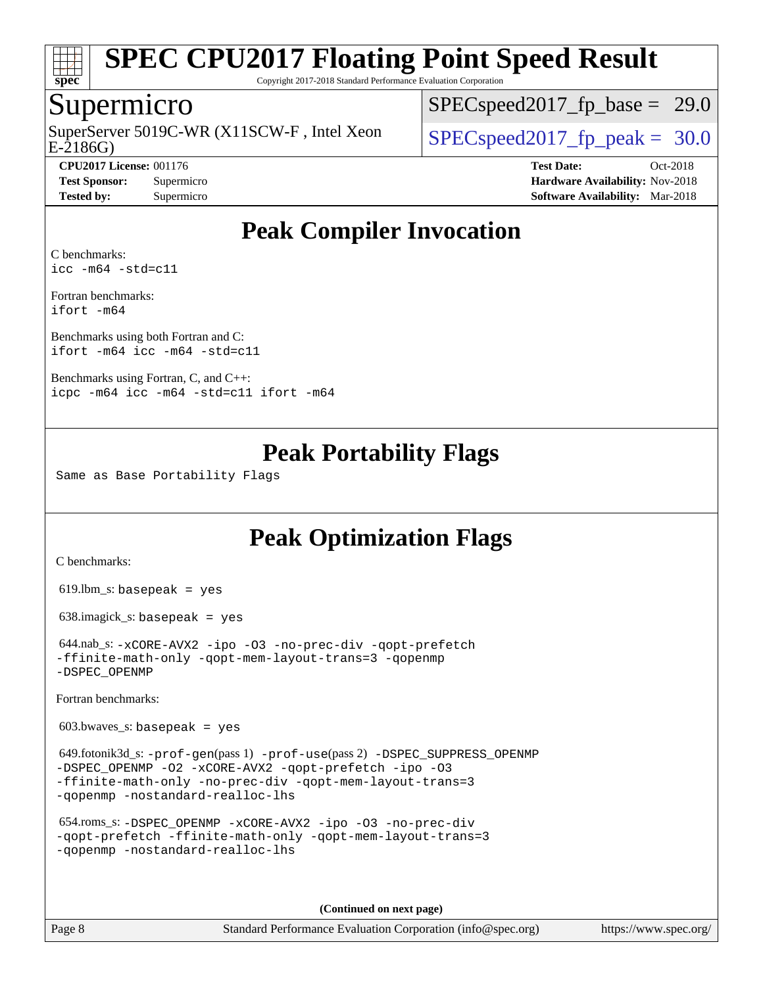

Copyright 2017-2018 Standard Performance Evaluation Corporation

## Supermicro

E-2186G) SuperServer 5019C-WR (X11SCW-F, Intel Xeon  $\big|$  [SPECspeed2017\\_fp\\_peak =](http://www.spec.org/auto/cpu2017/Docs/result-fields.html#SPECspeed2017fppeak) 30.0

 $SPECspeed2017_fp\_base = 29.0$ 

**[CPU2017 License:](http://www.spec.org/auto/cpu2017/Docs/result-fields.html#CPU2017License)** 001176 **[Test Date:](http://www.spec.org/auto/cpu2017/Docs/result-fields.html#TestDate)** Oct-2018 **[Test Sponsor:](http://www.spec.org/auto/cpu2017/Docs/result-fields.html#TestSponsor)** Supermicro **[Hardware Availability:](http://www.spec.org/auto/cpu2017/Docs/result-fields.html#HardwareAvailability)** Nov-2018 **[Tested by:](http://www.spec.org/auto/cpu2017/Docs/result-fields.html#Testedby)** Supermicro **[Software Availability:](http://www.spec.org/auto/cpu2017/Docs/result-fields.html#SoftwareAvailability)** Mar-2018

# **[Peak Compiler Invocation](http://www.spec.org/auto/cpu2017/Docs/result-fields.html#PeakCompilerInvocation)**

[C benchmarks](http://www.spec.org/auto/cpu2017/Docs/result-fields.html#Cbenchmarks): [icc -m64 -std=c11](http://www.spec.org/cpu2017/results/res2018q4/cpu2017-20181112-09649.flags.html#user_CCpeak_intel_icc_64bit_c11_33ee0cdaae7deeeab2a9725423ba97205ce30f63b9926c2519791662299b76a0318f32ddfffdc46587804de3178b4f9328c46fa7c2b0cd779d7a61945c91cd35)

[Fortran benchmarks](http://www.spec.org/auto/cpu2017/Docs/result-fields.html#Fortranbenchmarks): [ifort -m64](http://www.spec.org/cpu2017/results/res2018q4/cpu2017-20181112-09649.flags.html#user_FCpeak_intel_ifort_64bit_24f2bb282fbaeffd6157abe4f878425411749daecae9a33200eee2bee2fe76f3b89351d69a8130dd5949958ce389cf37ff59a95e7a40d588e8d3a57e0c3fd751)

[Benchmarks using both Fortran and C](http://www.spec.org/auto/cpu2017/Docs/result-fields.html#BenchmarksusingbothFortranandC): [ifort -m64](http://www.spec.org/cpu2017/results/res2018q4/cpu2017-20181112-09649.flags.html#user_CC_FCpeak_intel_ifort_64bit_24f2bb282fbaeffd6157abe4f878425411749daecae9a33200eee2bee2fe76f3b89351d69a8130dd5949958ce389cf37ff59a95e7a40d588e8d3a57e0c3fd751) [icc -m64 -std=c11](http://www.spec.org/cpu2017/results/res2018q4/cpu2017-20181112-09649.flags.html#user_CC_FCpeak_intel_icc_64bit_c11_33ee0cdaae7deeeab2a9725423ba97205ce30f63b9926c2519791662299b76a0318f32ddfffdc46587804de3178b4f9328c46fa7c2b0cd779d7a61945c91cd35)

[Benchmarks using Fortran, C, and C++:](http://www.spec.org/auto/cpu2017/Docs/result-fields.html#BenchmarksusingFortranCandCXX) [icpc -m64](http://www.spec.org/cpu2017/results/res2018q4/cpu2017-20181112-09649.flags.html#user_CC_CXX_FCpeak_intel_icpc_64bit_4ecb2543ae3f1412ef961e0650ca070fec7b7afdcd6ed48761b84423119d1bf6bdf5cad15b44d48e7256388bc77273b966e5eb805aefd121eb22e9299b2ec9d9) [icc -m64 -std=c11](http://www.spec.org/cpu2017/results/res2018q4/cpu2017-20181112-09649.flags.html#user_CC_CXX_FCpeak_intel_icc_64bit_c11_33ee0cdaae7deeeab2a9725423ba97205ce30f63b9926c2519791662299b76a0318f32ddfffdc46587804de3178b4f9328c46fa7c2b0cd779d7a61945c91cd35) [ifort -m64](http://www.spec.org/cpu2017/results/res2018q4/cpu2017-20181112-09649.flags.html#user_CC_CXX_FCpeak_intel_ifort_64bit_24f2bb282fbaeffd6157abe4f878425411749daecae9a33200eee2bee2fe76f3b89351d69a8130dd5949958ce389cf37ff59a95e7a40d588e8d3a57e0c3fd751)

## **[Peak Portability Flags](http://www.spec.org/auto/cpu2017/Docs/result-fields.html#PeakPortabilityFlags)**

Same as Base Portability Flags

# **[Peak Optimization Flags](http://www.spec.org/auto/cpu2017/Docs/result-fields.html#PeakOptimizationFlags)**

[C benchmarks](http://www.spec.org/auto/cpu2017/Docs/result-fields.html#Cbenchmarks):

619.lbm\_s: basepeak = yes

638.imagick\_s: basepeak = yes

```
 644.nab_s: -xCORE-AVX2 -ipo -O3 -no-prec-div -qopt-prefetch
-ffinite-math-only -qopt-mem-layout-trans=3 -qopenmp
-DSPEC_OPENMP
```
[Fortran benchmarks](http://www.spec.org/auto/cpu2017/Docs/result-fields.html#Fortranbenchmarks):

 $603.bwaves$  s: basepeak = yes

```
 649.fotonik3d_s: -prof-gen(pass 1) -prof-use(pass 2) -DSPEC_SUPPRESS_OPENMP
-DSPEC_OPENMP -O2 -xCORE-AVX2 -qopt-prefetch -ipo -O3
-ffinite-math-only -no-prec-div -qopt-mem-layout-trans=3
-qopenmp -nostandard-realloc-lhs
```

```
 654.roms_s: -DSPEC_OPENMP -xCORE-AVX2 -ipo -O3 -no-prec-div
-qopt-prefetch -ffinite-math-only -qopt-mem-layout-trans=3
-qopenmp -nostandard-realloc-lhs
```
**(Continued on next page)**